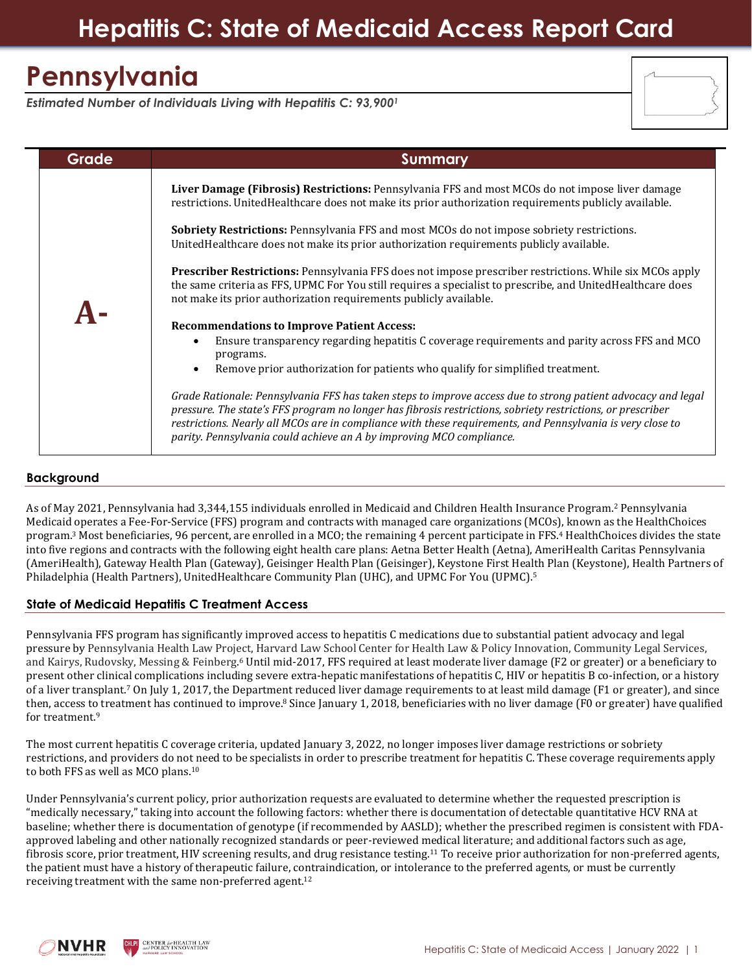## **Hepatitis C: State of Medicaid Access Report Card**

# **Pennsylvania**

*Estimated Number of Individuals Living with Hepatitis C: 93,900<sup>1</sup>*

| <b>Grade</b> | Summary                                                                                                                                                                                                                                                                                                                                                                                                                                                                                                                                                                                                                                                                                                                                                                                                                                                                                                                                                                                                                                                                                                                                                                                                                                                                                                                                                                           |  |
|--------------|-----------------------------------------------------------------------------------------------------------------------------------------------------------------------------------------------------------------------------------------------------------------------------------------------------------------------------------------------------------------------------------------------------------------------------------------------------------------------------------------------------------------------------------------------------------------------------------------------------------------------------------------------------------------------------------------------------------------------------------------------------------------------------------------------------------------------------------------------------------------------------------------------------------------------------------------------------------------------------------------------------------------------------------------------------------------------------------------------------------------------------------------------------------------------------------------------------------------------------------------------------------------------------------------------------------------------------------------------------------------------------------|--|
|              | Liver Damage (Fibrosis) Restrictions: Pennsylvania FFS and most MCOs do not impose liver damage<br>restrictions. UnitedHealthcare does not make its prior authorization requirements publicly available.<br>Sobriety Restrictions: Pennsylvania FFS and most MCOs do not impose sobriety restrictions.<br>United Health care does not make its prior authorization requirements publicly available.<br><b>Prescriber Restrictions:</b> Pennsylvania FFS does not impose prescriber restrictions. While six MCOs apply<br>the same criteria as FFS, UPMC For You still requires a specialist to prescribe, and UnitedHealthcare does<br>not make its prior authorization requirements publicly available.<br><b>Recommendations to Improve Patient Access:</b><br>Ensure transparency regarding hepatitis C coverage requirements and parity across FFS and MCO<br>programs.<br>Remove prior authorization for patients who qualify for simplified treatment.<br>Grade Rationale: Pennsylvania FFS has taken steps to improve access due to strong patient advocacy and legal<br>pressure. The state's FFS program no longer has fibrosis restrictions, sobriety restrictions, or prescriber<br>restrictions. Nearly all MCOs are in compliance with these requirements, and Pennsylvania is very close to<br>parity. Pennsylvania could achieve an A by improving MCO compliance. |  |

#### **Background**

As of May 2021, Pennsylvania had 3,344,155 individuals enrolled in Medicaid and Children Health Insurance Program. <sup>2</sup> Pennsylvania Medicaid operates a Fee-For-Service (FFS) program and contracts with managed care organizations (MCOs), known as the HealthChoices program.<sup>3</sup> Most beneficiaries, 96 percent, are enrolled in a MCO; the remaining 4 percent participate in FFS.<sup>4</sup> HealthChoices divides the state into five regions and contracts with the following eight health care plans: Aetna Better Health (Aetna), AmeriHealth Caritas Pennsylvania (AmeriHealth), Gateway Health Plan (Gateway), Geisinger Health Plan (Geisinger), Keystone First Health Plan (Keystone), Health Partners of Philadelphia (Health Partners), UnitedHealthcare Community Plan (UHC), and UPMC For You (UPMC). 5

### **State of Medicaid Hepatitis C Treatment Access**

Pennsylvania FFS program has significantly improved access to hepatitis C medications due to substantial patient advocacy and legal pressure by Pennsylvania Health Law Project, Harvard Law School Center for Health Law & Policy Innovation, Community Legal Services, and Kairys, Rudovsky, Messing & Feinberg. <sup>6</sup> Until mid-2017, FFS required at least moderate liver damage (F2 or greater) or a beneficiary to present other clinical complications including severe extra-hepatic manifestations of hepatitis C, HIV or hepatitis B co-infection, or a history of a liver transplant. <sup>7</sup> On July 1, 2017, the Department reduced liver damage requirements to at least mild damage (F1 or greater), and since then, access to treatment has continued to improve.<sup>8</sup> Since January 1, 2018, beneficiaries with no liver damage (F0 or greater) have qualified for treatment.<sup>9</sup>

The most current hepatitis C coverage criteria, updated January 3, 2022, no longer imposes liver damage restrictions or sobriety restrictions, and providers do not need to be specialists in order to prescribe treatment for hepatitis C. These coverage requirements apply to both FFS as well as MCO plans.<sup>10</sup>

Under Pennsylvania's current policy, prior authorization requests are evaluated to determine whether the requested prescription is "medically necessary," taking into account the following factors: whether there is documentation of detectable quantitative HCV RNA at baseline; whether there is documentation of genotype (if recommended by AASLD); whether the prescribed regimen is consistent with FDAapproved labeling and other nationally recognized standards or peer-reviewed medical literature; and additional factors such as age, fibrosis score, prior treatment, HIV screening results, and drug resistance testing.<sup>11</sup> To receive prior authorization for non-preferred agents, the patient must have a history of therapeutic failure, contraindication, or intolerance to the preferred agents, or must be currently receiving treatment with the same non-preferred agent.<sup>12</sup>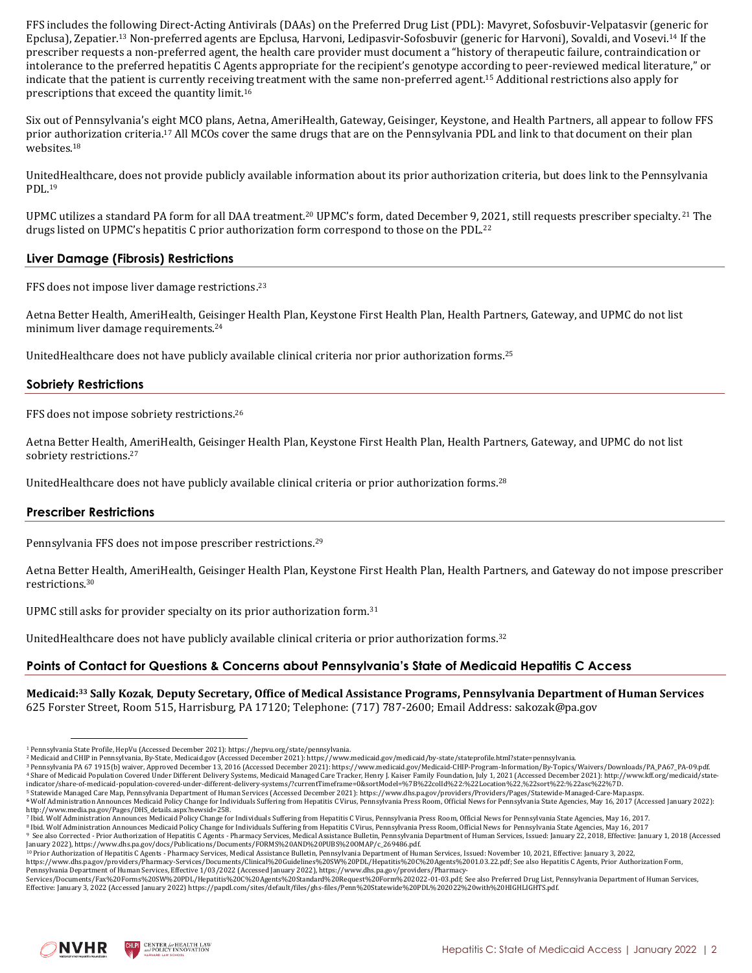FFS includes the following Direct-Acting Antivirals (DAAs) on the Preferred Drug List (PDL): Mavyret, Sofosbuvir-Velpatasvir (generic for Epclusa), Zepatier.<sup>13</sup> Non-preferred agents are Epclusa, Harvoni, Ledipasvir-Sofosbuvir (generic for Harvoni), Sovaldi, and Vosevi.<sup>14</sup> If the prescriber requests a non-preferred agent, the health care provider must document a "history of therapeutic failure, contraindication or intolerance to the preferred hepatitis C Agents appropriate for the recipient's genotype according to peer-reviewed medical literature," or indicate that the patient is currently receiving treatment with the same non-preferred agent. <sup>15</sup> Additional restrictions also apply for prescriptions that exceed the quantity limit.<sup>16</sup>

Six out of Pennsylvania's eight MCO plans, Aetna, AmeriHealth, Gateway, Geisinger, Keystone, and Health Partners, all appear to follow FFS prior authorization criteria.<sup>17</sup> All MCOs cover the same drugs that are on the Pennsylvania PDL and link to that document on their plan websites.<sup>18</sup>

UnitedHealthcare, does not provide publicly available information about its prior authorization criteria, but does link to the Pennsylvania PDL.<sup>19</sup>

UPMC utilizes a standard PA form for all DAA treatment.<sup>20</sup> UPMC's form, dated December 9, 2021, still requests prescriber specialty. <sup>21</sup> The drugs listed on UPMC's hepatitis C prior authorization form correspond to those on the PDL.<sup>22</sup>

### **Liver Damage (Fibrosis) Restrictions**

FFS does not impose liver damage restrictions. 23

Aetna Better Health, AmeriHealth, Geisinger Health Plan, Keystone First Health Plan, Health Partners, Gateway, and UPMC do not list minimum liver damage requirements.<sup>24</sup>

UnitedHealthcare does not have publicly available clinical criteria nor prior authorization forms.<sup>25</sup>

### **Sobriety Restrictions**

FFS does not impose sobriety restrictions.<sup>26</sup>

Aetna Better Health, AmeriHealth, Geisinger Health Plan, Keystone First Health Plan, Health Partners, Gateway, and UPMC do not list sobriety restrictions. 27

UnitedHealthcare does not have publicly available clinical criteria or prior authorization forms.<sup>28</sup>

### **Prescriber Restrictions**

Pennsylvania FFS does not impose prescriber restrictions. 29

Aetna Better Health, AmeriHealth, Geisinger Health Plan, Keystone First Health Plan, Health Partners, and Gateway do not impose prescriber restrictions.<sup>30</sup>

UPMC still asks for provider specialty on its prior authorization form.<sup>31</sup>

UnitedHealthcare does not have publicly available clinical criteria or prior authorization forms.<sup>32</sup>

### **Points of Contact for Questions & Concerns about Pennsylvania's State of Medicaid Hepatitis C Access**

**Medicaid: <sup>33</sup> Sally Kozak**, **Deputy Secretary, Office of Medical Assistance Programs, Pennsylvania Department of Human Services** 625 Forster Street, Room 515, Harrisburg, PA 17120; Telephone: (717) 787‐2600; Email Address: sakozak@pa.gov

Effective: January 3, 2022 (Accessed January 2022) https://papdl.com/sites/default/files/ghs-files/Penn%20Statewide%20PDL%202022%20with%20HIGHLIGHTS.pdf.



<sup>1</sup> Pennsylvania State Profile, HepVu (Accessed December 2021)[: https://hepvu.org/state/pennsylvania.](https://hepvu.org/state/pennsylvania/)

<sup>2</sup> Medicaid and CHIP in Pennsylvania, By-State, Medicaid.gov (Accessed December 2021)[: https://www.medicaid.gov/medicaid/by-state/stateprofile.html?state=pennsylvania.](https://www.medicaid.gov/medicaid/by-state/stateprofile.html?state=pennsylvania)

<sup>&</sup>lt;sup>3</sup> Pennsylvania PA 67 1915(b) waiver, Approved December 13, 2016 (Accessed December 2021): [https://www.medicaid.gov/Medicaid-CHIP-Program-Information/By-Topics/Waivers/Downloads/PA\\_PA67\\_PA-09.pdf.](https://www.medicaid.gov/Medicaid-CHIP-Program-Information/By-Topics/Waivers/Downloads/PA_PA67_PA-09.pdf)<br><sup>4</sup> Share of Medicaid Po [indicator/share-of-medicaid-population-covered-under-different-delivery-systems/?currentTimeframe=0&sortModel=%7B%22colId%22:%22Location%22,%22sort%22:%22asc%22%7D.](http://www.kff.org/medicaid/state-indicator/share-of-medicaid-population-covered-under-different-delivery-systems/?currentTimeframe=0&sortModel=%7B%22colId%22:%22Location%22,%22sort%22:%22asc%22%7D)

<sup>&</sup>lt;sup>5</sup> Statewide Managed Care Map, Pennsylvania Department of Human Services (Accessed December 2021): https://www.dhs.pa.gov/providers/Providers/Pages/Statewide-Managed-Care-Map.aspx.<br><sup>6</sup> Wolf Administration Announces Medica [http://www.media.pa.gov/Pages/DHS\\_details.aspx?newsid=258.](http://www.media.pa.gov/Pages/DHS_details.aspx?newsid=258)

<sup>7</sup> Ibid. Wolf Administration Announces Medicaid Policy Change for Individuals Suffering from Hepatitis C Virus, Pennsylvania Press Room, Official News for Pennsylvania State Agencies, May 16, 2017.

<sup>8</sup> Ibid. Wolf Administration Announces Medicaid Policy Change for Individuals Suffering from Hepatitis C Virus, Pennsylvania Press Room, Official News for Pennsylvania State Agencies, May 16, 2017 <sup>9</sup> See also Corrected - Prior Authorization of Hepatitis C Agents - Pharmacy Services, Medical Assistance Bulletin, Pennsylvania Department of Human Services, Issued: January 22, 2018, Effective: January 1, 2018 (Accessed

<sup>&</sup>lt;sup>10</sup> Prior Authorization of Hepatitis C Agents - Pharmacy Services, Medical Assistance Bulletin, Pennsylvania Department of Human Services, Issued: November 10, 2021, Effective: January 3, 2022 [https://www.dhs.pa.gov/providers/Pharmacy-Services/Documents/Clinical%20Guidelines%20SW%20PDL/Hepatitis%20C%20Agents%2001.03.22.pdf;](https://www.dhs.pa.gov/providers/Pharmacy-Services/Documents/Clinical%20Guidelines%20SW%20PDL/Hepatitis%20C%20Agents%2001.03.22.pdf) See also Hepatitis C Agents, Prior Authorization Form,

Pennsylvania Department of Human Services, Effective 1/03/2022 (Accessed January 2022), https://www.dhs.pa.gov/providers/Pharmacy-<br>Services/Documents/Fax%20Forms%20SW%20PDL/Hepatitis%20C%20Agents%20Standard%20Request%20For